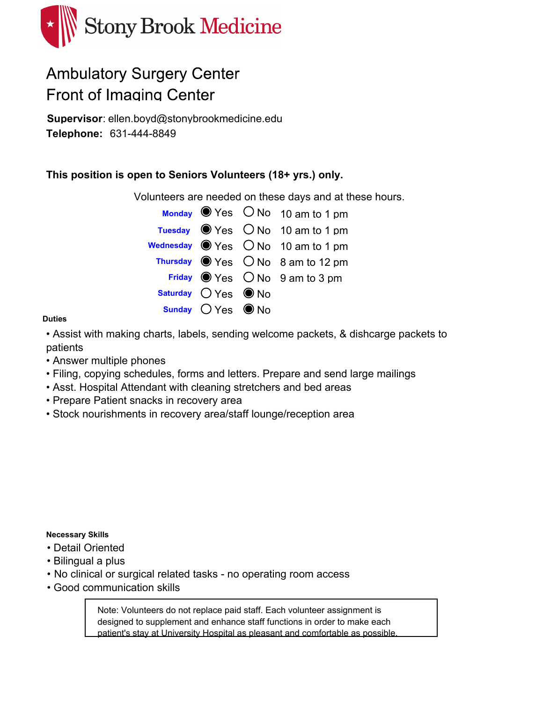

# **Ambulatory Surgery Center Front of Imaging Center**

**Supervisor**: ellen.boyd@stonybrookmedicine.edu 631-444-8849 **Telephone:**

### **This position is open to Seniors Volunteers (18+ yrs.) only.**

Volunteers are needed on these days and at these hours.

|                      | Monday Wes ONo 10 am to 1 pm                                          |
|----------------------|-----------------------------------------------------------------------|
|                      | Tuesday $\bullet$ Yes $\circ$ No 10 am to 1 pm                        |
|                      | wednesday $\bigcirc$ Yes $\bigcirc$ No $\hspace{0.1em}$ 10 am to 1 pm |
|                      | Thursday $\bigcirc$ Yes $\bigcirc$ No 8 am to 12 pm                   |
|                      | Friday $\bigcirc$ Yes $\bigcirc$ No $\bigcirc$ am to 3 pm             |
| Saturday $OYes$ O No |                                                                       |
| Sunday $OYes$ O No   |                                                                       |

#### **Duties**

• Assist with making charts, labels, sending welcome packets, & dishcarge packets to patients

- Answer multiple phones
- Filing, copying schedules, forms and letters. Prepare and send large mailings
- Asst. Hospital Attendant with cleaning stretchers and bed areas
- Prepare Patient snacks in recovery area
- Stock nourishments in recovery area/staff lounge/reception area

#### **Necessary Skills**

- Detail Oriented
- Bilingual a plus
- No clinical or surgical related tasks no operating room access
- Good communication skills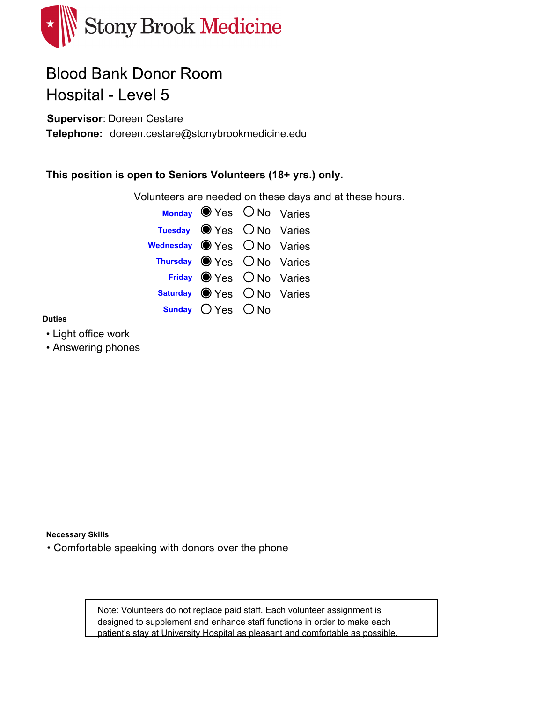

## **Blood Bank Donor Room** Hospital - Level 5

**Supervisor**: Doreen Cestare

Telephone: doreen.cestare@stonybrookmedicine.edu

### **This position is open to Seniors Volunteers (18+ yrs.) only.**

Volunteers are needed on these days and at these hours.



#### **Duties**

- Light office work
- Answering phones

**Necessary Skills**

• Comfortable speaking with donors over the phone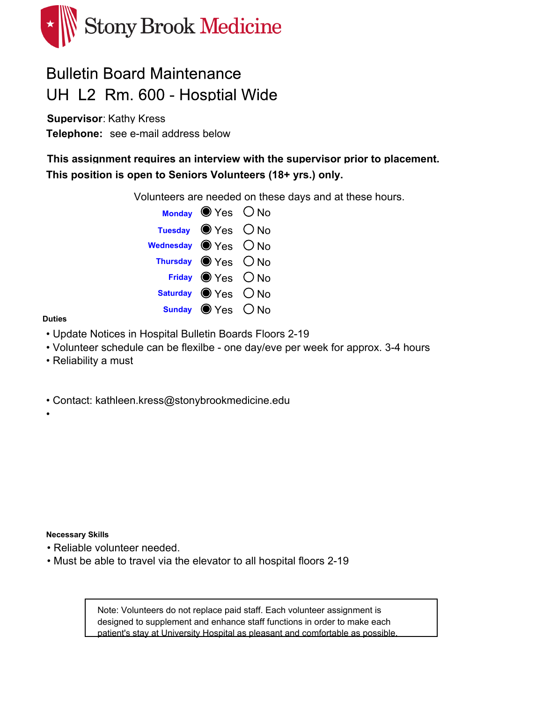

### **Bulletin Board Maintenance** UH L2 Rm. 600 - Hosptial Wide

**Supervisor**: Kathy Kress Telephone: see e-mail address below

**This assignment requires an interview with the supervisor prior to placement. This position is open to Seniors Volunteers (18+ yrs.) only.**

Volunteers are needed on these days and at these hours.

|                   | Monday $\bullet$ Yes $\circ$ No       |  |
|-------------------|---------------------------------------|--|
|                   | Tuesday $\bigcirc$ Yes $\bigcirc$ No  |  |
| Wednesday Wes ONo |                                       |  |
|                   | Thursday $\bigcirc$ Yes $\bigcirc$ No |  |
|                   | Friday Yes ONo                        |  |
|                   | Saturday ● Yes ○ No                   |  |
|                   | Sunday $\bigcirc$ Yes $\bigcirc$ No   |  |

#### **Duties**

•

- Update Notices in Hospital Bulletin Boards Floors 2-19
- Volunteer schedule can be flexilbe one day/eve per week for approx. 3-4 hours
- Reliability a must

• Contact: kathleen.kress@stonybrookmedicine.edu

**Necessary Skills**

- Reliable volunteer needed.
- Must be able to travel via the elevator to all hospital floors 2-19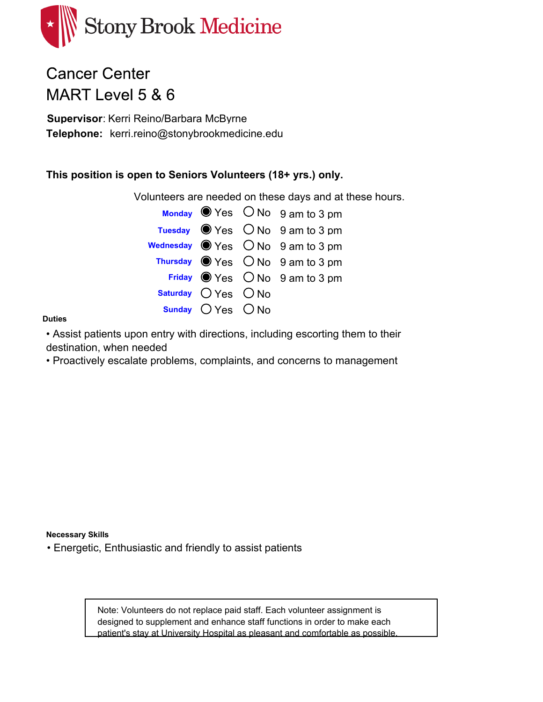

## **Cancer Center** MART Level 5 & 6

**Supervisor**: Kerri Reino/Barbara McByrne kerri.reino@stonybrookmedicine.edu **Telephone:**

### **This position is open to Seniors Volunteers (18+ yrs.) only.**

Volunteers are needed on these days and at these hours.

|                         | Monday $\bullet$ Yes $\circ$ No $\circ$ am to 3 pm          |
|-------------------------|-------------------------------------------------------------|
|                         | Tuesday $\bullet$ Yes $\circ$ No $\circ$ am to 3 pm         |
|                         | Wednesday $\bigcirc$ Yes $\bigcirc$ No $\,$ 9 am to 3 pm    |
|                         | Thursday $\bigcirc$ Yes $\bigcirc$ No $\bigcirc$ am to 3 pm |
|                         | Friday $\bigcirc$ Yes $\bigcirc$ No $\bigcirc$ am to 3 pm   |
| Saturday $O$ Yes $O$ No |                                                             |
| Sunday O Yes O No       |                                                             |

#### **Duties**

• Assist patients upon entry with directions, including escorting them to their destination, when needed

• Proactively escalate problems, complaints, and concerns to management

**Necessary Skills**

• Energetic, Enthusiastic and friendly to assist patients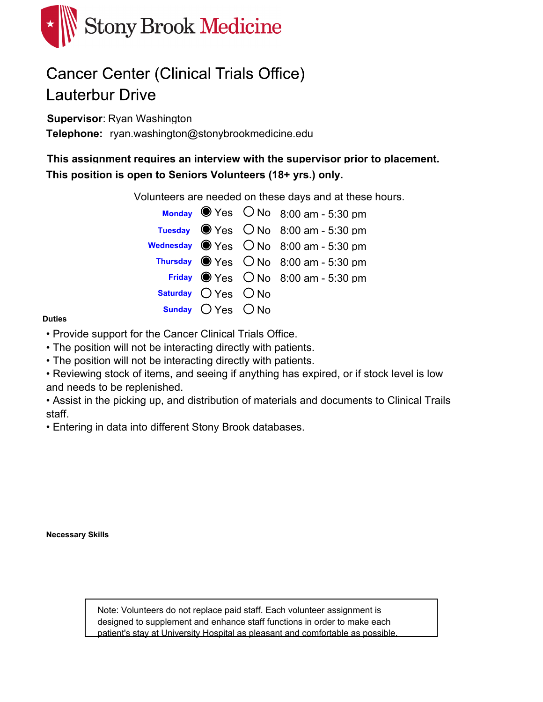

# **Cancer Center (Clinical Trials Office) Lauterbur Drive**

**Supervisor**: Ryan Washington

Telephone: ryan.washington@stonybrookmedicine.edu

**This assignment requires an interview with the supervisor prior to placement. This position is open to Seniors Volunteers (18+ yrs.) only.**

Volunteers are needed on these days and at these hours.

|                         | Monday $\bullet$ Yes $\circ$ No 8:00 am - 5:30 pm             |
|-------------------------|---------------------------------------------------------------|
|                         | Tuesday $\bullet$ Yes $\circ$ No 8:00 am - 5:30 pm            |
|                         | Wednesday $\bigcirc$ Yes $\bigcirc$ No $\,$ 8:00 am - 5:30 pm |
|                         | Thursday $\bullet$ Yes $\circ$ No 8:00 am - 5:30 pm           |
|                         | Friday $\bullet$ Yes $\circ$ No 8:00 am - 5:30 pm             |
| Saturday $O$ Yes $O$ No |                                                               |
| Sunday $O$ Yes $O$ No   |                                                               |

#### **Duties**

- Provide support for the Cancer Clinical Trials Office.
- The position will not be interacting directly with patients.
- The position will not be interacting directly with patients.

• Reviewing stock of items, and seeing if anything has expired, or if stock level is low and needs to be replenished.

• Assist in the picking up, and distribution of materials and documents to Clinical Trails staff.

• Entering in data into different Stony Brook databases.

**Necessary Skills**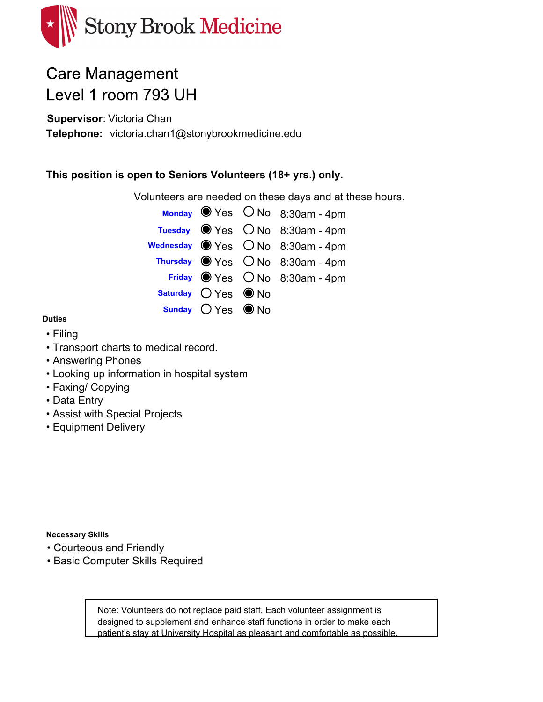

## **Care Management** Level 1 room 793 UH

**Supervisor**: Victoria Chan Telephone: victoria.chan1@stonybrookmedicine.edu

### **This position is open to Seniors Volunteers (18+ yrs.) only.**

Volunteers are needed on these days and at these hours.

|                      | Monday $\bullet$ Yes $\circ$ No 8:30am - 4pm                         |
|----------------------|----------------------------------------------------------------------|
|                      | Tuesday $\bullet$ Yes $\circ$ No 8:30am - 4pm                        |
|                      | Wednesday $\bigcirc$ Yes $\bigcirc$ No $\hspace{0.1cm}$ 8:30am - 4pm |
|                      | Thursday $\bigcirc$ Yes $\bigcirc$ No 8:30am - 4pm                   |
|                      | Friday $\circledcirc$ Yes $\circledcirc$ No 8:30am - 4pm             |
| Saturday $OYes$ O No |                                                                      |
| Sunday $OYes$ O No   |                                                                      |

#### **Duties**

- Filing
- Transport charts to medical record.
- Answering Phones
- Looking up information in hospital system
- Faxing/ Copying
- Data Entry
- Assist with Special Projects
- Equipment Delivery

**Necessary Skills**

- Courteous and Friendly
- Basic Computer Skills Required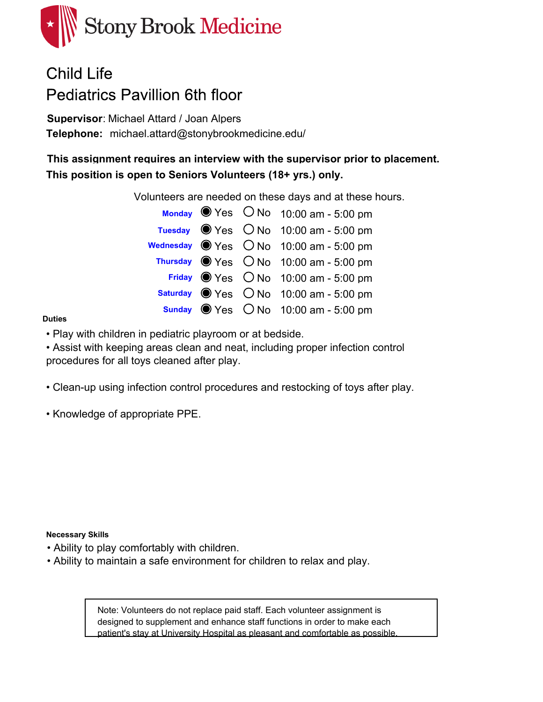

# Child Life **Pediatrics Pavillion 6th floor**

**Supervisor**: Michael Attard / Joan Alpers michael.attard@stonybrookmedicine.edu/ **Telephone:**

**This assignment requires an interview with the supervisor prior to placement. This position is open to Seniors Volunteers (18+ yrs.) only.**

Volunteers are needed on these days and at these hours.

|  | Monday $\bullet$ Yes $\circ$ No 10:00 am - 5:00 pm              |
|--|-----------------------------------------------------------------|
|  | Tuesday $\bullet$ Yes $\circ$ No 10:00 am - 5:00 pm             |
|  | Wednesday ● Yes ○ No 10:00 am - 5:00 pm                         |
|  | Thursday $\bullet$ Yes $\circ$ No 10:00 am - 5:00 pm            |
|  | Friday $\bullet$ Yes $\circ$ No 10:00 am - 5:00 pm              |
|  | Saturday $\circledast$ Yes $\circledcirc$ No 10:00 am - 5:00 pm |
|  | Sunday $\circledcirc$ Yes $\circledcirc$ No 10:00 am - 5:00 pm  |

#### **Duties**

• Play with children in pediatric playroom or at bedside.

• Assist with keeping areas clean and neat, including proper infection control procedures for all toys cleaned after play.

• Clean-up using infection control procedures and restocking of toys after play.

• Knowledge of appropriate PPE.

#### **Necessary Skills**

- Ability to play comfortably with children.
- Ability to maintain a safe environment for children to relax and play.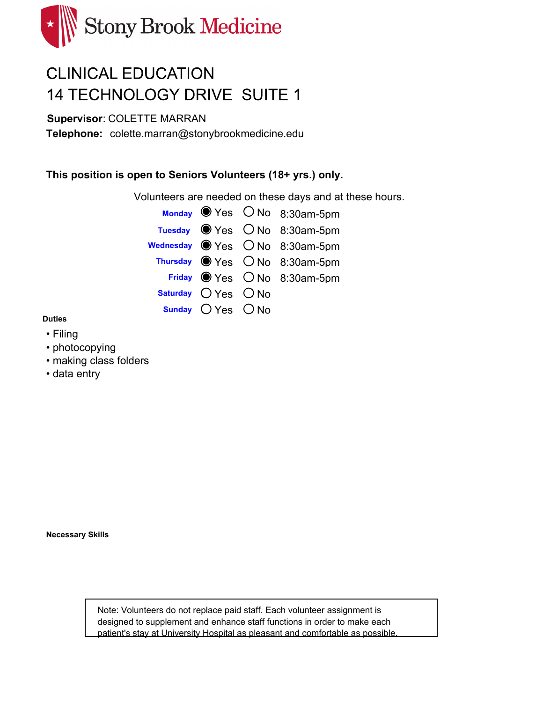

# **CLINICAL EDUCATION 14 TECHNOLOGY DRIVE SUITE 1**

**Supervisor**: COLETTE MARRAN

Telephone: colette.marran@stonybrookmedicine.edu

### **This position is open to Seniors Volunteers (18+ yrs.) only.**

Volunteers are needed on these days and at these hours.



#### **Duties**

- Filing
- photocopying
- making class folders
- data entry

**Necessary Skills**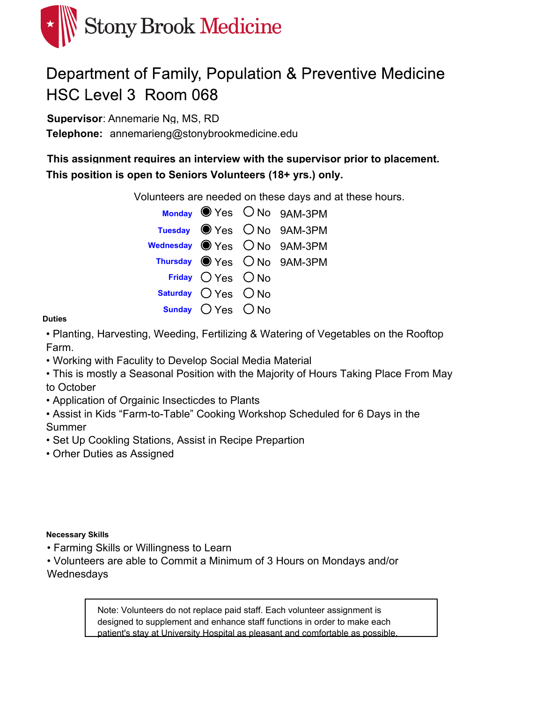

# Department of Family, Population & Preventive Medicine HSC Level 3 Room 068

**Supervisor**: Annemarie Ng, MS, RD

Telephone: annemarieng@stonybrookmedicine.edu

**This assignment requires an interview with the supervisor prior to placement. This position is open to Seniors Volunteers (18+ yrs.) only.**

Volunteers are needed on these days and at these hours.

|                         | Monday Yes ONo 9AM-3PM                         |
|-------------------------|------------------------------------------------|
|                         | Tuesday Wes ONo 9AM-3PM                        |
|                         | Wednesday $\bigcirc$ Yes $\bigcirc$ No 9AM-3PM |
|                         | Thursday ● Yes ○ No 9AM-3PM                    |
| Friday $OYes$ $ONo$     |                                                |
| Saturday $O$ Yes $O$ No |                                                |
| Sunday $OYes$ $ONo$     |                                                |

#### **Duties**

• Planting, Harvesting, Weeding, Fertilizing & Watering of Vegetables on the Rooftop Farm.

• Working with Faculity to Develop Social Media Material

• This is mostly a Seasonal Position with the Majority of Hours Taking Place From May to October

- Application of Orgainic Insecticdes to Plants
- Assist in Kids "Farm-to-Table" Cooking Workshop Scheduled for 6 Days in the Summer
- Set Up Cookling Stations, Assist in Recipe Prepartion
- Orher Duties as Assigned

#### **Necessary Skills**

- Farming Skills or Willingness to Learn
- Volunteers are able to Commit a Minimum of 3 Hours on Mondays and/or **Wednesdays**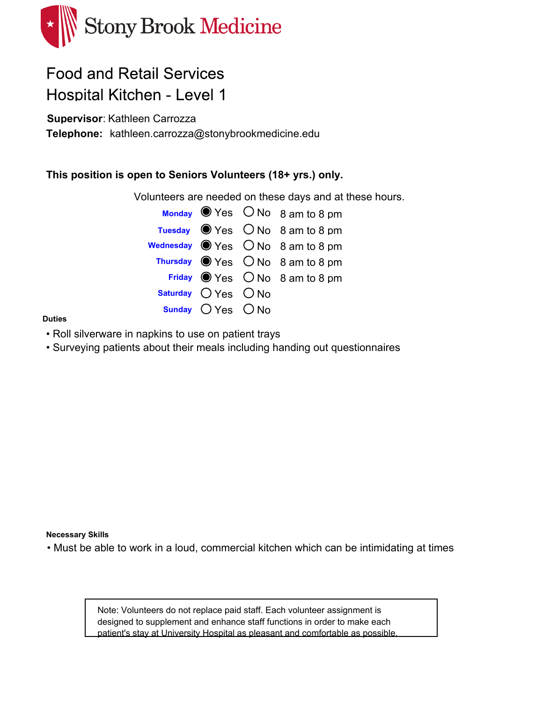

## **Food and Retail Services Hospital Kitchen - Level 1**

**Supervisor**: Kathleen Carrozza

Telephone: kathleen.carrozza@stonybrookmedicine.edu

### **This position is open to Seniors Volunteers (18+ yrs.) only.**

Volunteers are needed on these days and at these hours.

|                         | Monday $\bullet$ Yes $\circ$ No $\circ$ am to 8 pm       |
|-------------------------|----------------------------------------------------------|
|                         | Tuesday $\bullet$ Yes $\circ$ No 8 am to 8 pm            |
|                         | Wednesday $\bigcirc$ Yes $\bigcirc$ No $\,$ 8 am to 8 pm |
|                         | Thursday $\bigcirc$ Yes $\bigcirc$ No 8 am to 8 pm       |
|                         | Friday $\bigcirc$ Yes $\bigcirc$ No 8 am to 8 pm         |
| Saturday $O$ Yes $O$ No |                                                          |
| Sunday $O$ Yes $O$ No   |                                                          |

#### **Duties**

- Roll silverware in napkins to use on patient trays
- Surveying patients about their meals including handing out questionnaires

#### **Necessary Skills**

• Must be able to work in a loud, commercial kitchen which can be intimidating at times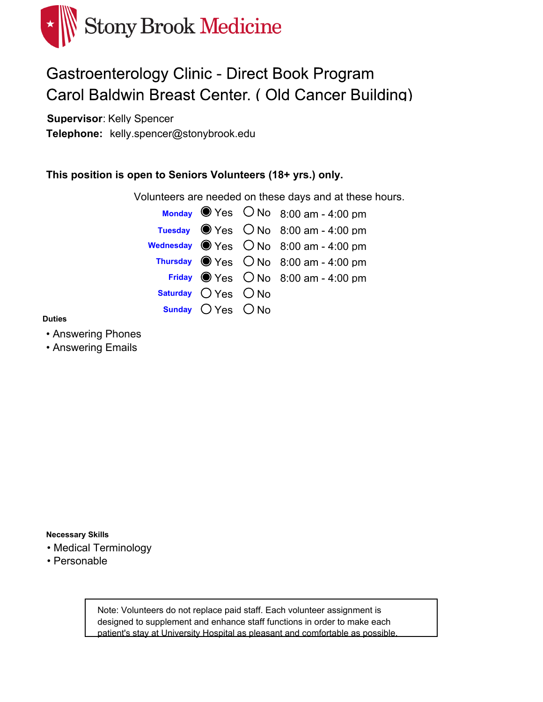

## **Gastroenterology Clinic - Direct Book Program** Carol Baldwin Breast Center. (Old Cancer Building)

**Supervisor**: Kelly Spencer

kelly.spencer@stonybrook.edu **Telephone:**

### **This position is open to Seniors Volunteers (18+ yrs.) only.**

Volunteers are needed on these days and at these hours.



#### **Duties**

- Answering Phones
- Answering Emails

**Necessary Skills**

- Medical Terminology
- Personable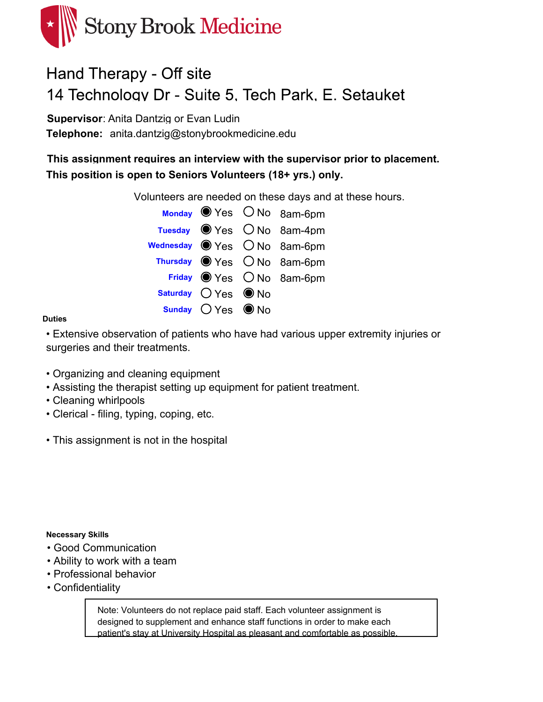

### Hand Therapy - Off site 14 Technology Dr - Suite 5, Tech Park, E. Setauket

**Supervisor**: Anita Dantzig or Evan Ludin Telephone: anita.dantzig@stonybrookmedicine.edu

**This assignment requires an interview with the supervisor prior to placement. This position is open to Seniors Volunteers (18+ yrs.) only.**

Volunteers are needed on these days and at these hours.



#### **Duties**

• Extensive observation of patients who have had various upper extremity injuries or surgeries and their treatments.

- Organizing and cleaning equipment
- Assisting the therapist setting up equipment for patient treatment.
- Cleaning whirlpools
- Clerical filing, typing, coping, etc.
- This assignment is not in the hospital

#### **Necessary Skills**

- Good Communication
- Ability to work with a team
- Professional behavior
- Confidentiality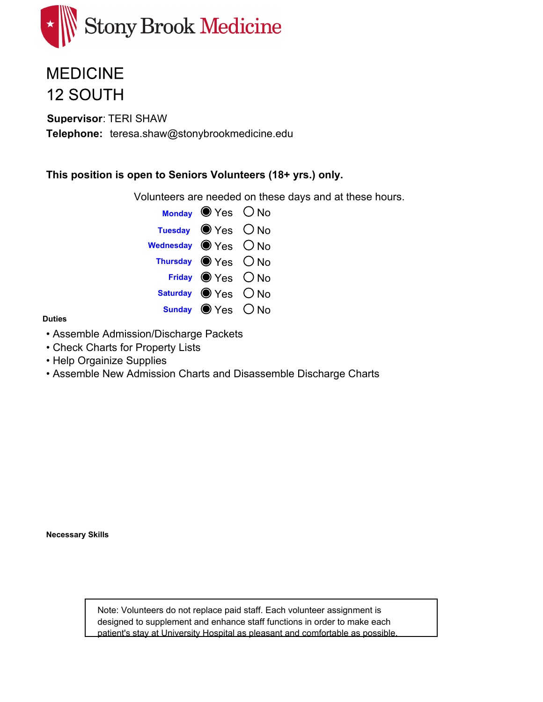

## **MEDICINE 12 SOUTH**

**Supervisor**: TERI SHAW Telephone: teresa.shaw@stonybrookmedicine.edu

### **This position is open to Seniors Volunteers (18+ yrs.) only.**

Volunteers are needed on these days and at these hours.

|                      | Monday $\bullet$ Yes $\circ$ No       |  |
|----------------------|---------------------------------------|--|
|                      | Tuesday $\bigcirc$ Yes $\bigcirc$ No  |  |
| Wednesday ● Yes ○ No |                                       |  |
|                      | Thursday $\bigcirc$ Yes $\bigcirc$ No |  |
|                      | Friday Yes ONo                        |  |
|                      | Saturday ● Yes ○ No                   |  |
|                      | Sunday $\bigcirc$ Yes $\bigcirc$ No   |  |

#### **Duties**

- Assemble Admission/Discharge Packets
- Check Charts for Property Lists
- Help Orgainize Supplies
- Assemble New Admission Charts and Disassemble Discharge Charts

**Necessary Skills**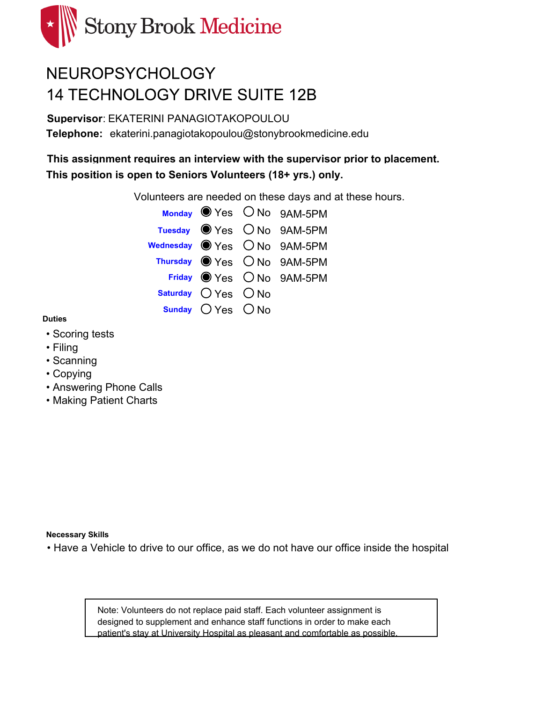

# NEUROPSYCHOLOGY **14 TECHNOLOGY DRIVE SUITE 12B**

**Supervisor**: EKATERINI PANAGIOTAKOPOULOU Telephone: ekaterini.panagiotakopoulou@stonybrookmedicine.edu

**This assignment requires an interview with the supervisor prior to placement. This position is open to Seniors Volunteers (18+ yrs.) only.**

Volunteers are needed on these days and at these hours.



#### **Duties**

- Scoring tests
- Filing
- Scanning
- Copying
- Answering Phone Calls
- Making Patient Charts

**Necessary Skills**

• Have a Vehicle to drive to our office, as we do not have our office inside the hospital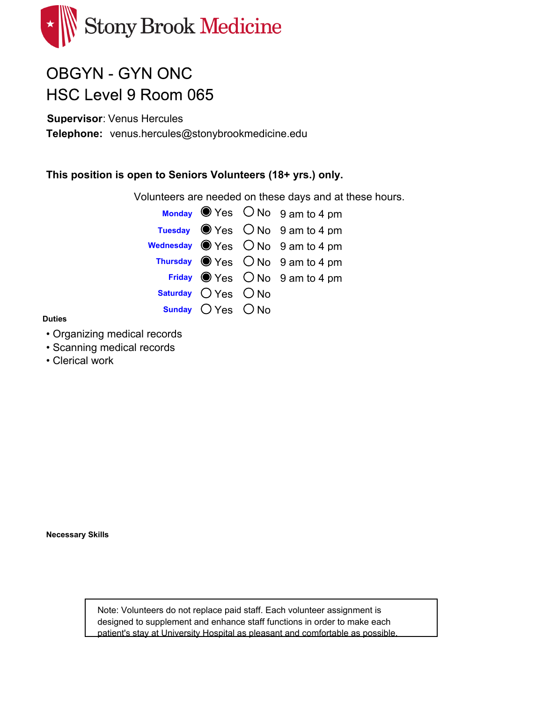

# **OBGYN - GYN ONC** HSC Level 9 Room 065

**Supervisor**: Venus Hercules

Telephone: venus.hercules@stonybrookmedicine.edu

### **This position is open to Seniors Volunteers (18+ yrs.) only.**

Volunteers are needed on these days and at these hours.

|                         | Monday $\bullet$ Yes $\circ$ No $\circ$ am to 4 pm          |
|-------------------------|-------------------------------------------------------------|
|                         | Tuesday $\bullet$ Yes $\circ$ No 9 am to 4 pm               |
|                         | Wednesday $\bigcirc$ Yes $\bigcirc$ No 9 am to 4 pm         |
|                         | Thursday $\bigcirc$ Yes $\bigcirc$ No $\bigcirc$ am to 4 pm |
|                         | Friday $\bigcirc$ Yes $\bigcirc$ No 9 am to 4 pm            |
| Saturday $O$ Yes $O$ No |                                                             |
| Sunday $OYes$ $ONo$     |                                                             |

#### **Duties**

- Organizing medical records
- Scanning medical records
- Clerical work

**Necessary Skills**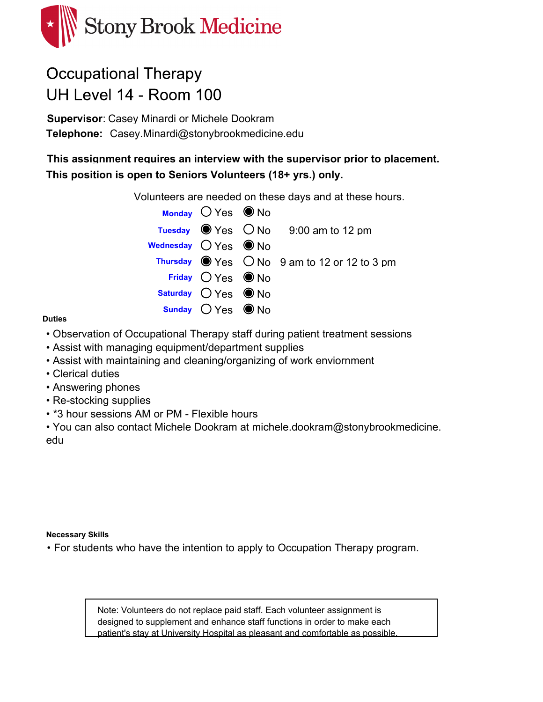

# **Occupational Therapy** UH Level 14 - Room 100

**Supervisor**: Casey Minardi or Michele Dookram Telephone: Casey.Minardi@stonybrookmedicine.edu

**This assignment requires an interview with the supervisor prior to placement. This position is open to Seniors Volunteers (18+ yrs.) only.**

Volunteers are needed on these days and at these hours.

|                                        | Monday $OYes$ O No            |                                                                     |
|----------------------------------------|-------------------------------|---------------------------------------------------------------------|
|                                        |                               | Tuesday $\bullet$ Yes $\circ$ No $\circ$ 9:00 am to 12 pm           |
| Wednesday $\bigcirc$ Yes $\bigcirc$ No |                               |                                                                     |
|                                        |                               | Thursday $\bigcirc$ Yes $\bigcirc$ No $\,$ 9 am to 12 or 12 to 3 pm |
|                                        | Friday $OYes$ O No            |                                                                     |
|                                        | Saturday $O$ Yes $\bullet$ No |                                                                     |
|                                        | Sunday $OYes$ $\bullet$ No    |                                                                     |

#### **Duties**

- Observation of Occupational Therapy staff during patient treatment sessions
- Assist with managing equipment/department supplies
- Assist with maintaining and cleaning/organizing of work enviornment
- Clerical duties
- Answering phones
- Re-stocking supplies
- \*3 hour sessions AM or PM Flexible hours

• You can also contact Michele Dookram at michele.dookram@stonybrookmedicine. edu

#### **Necessary Skills**

• For students who have the intention to apply to Occupation Therapy program.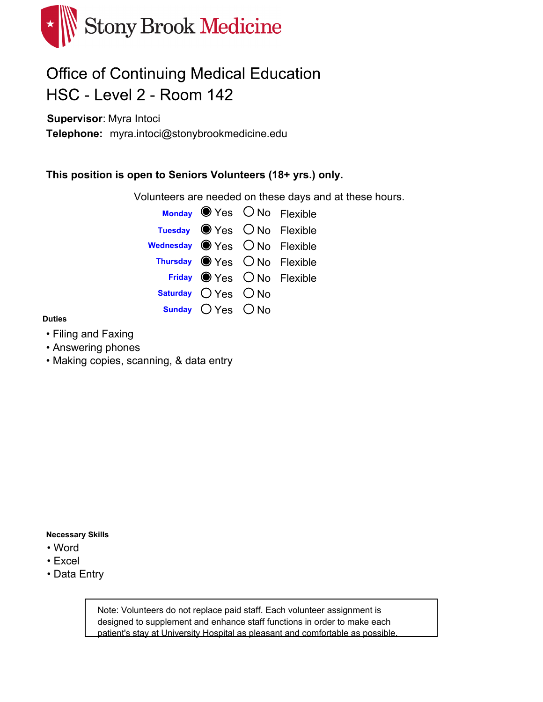

## **Office of Continuing Medical Education** HSC - Level 2 - Room 142

**Supervisor**: Myra Intoci

myra.intoci@stonybrookmedicine.edu **Telephone:**

### **This position is open to Seniors Volunteers (18+ yrs.) only.**

Volunteers are needed on these days and at these hours.



#### **Duties**

- Filing and Faxing
- Answering phones
- Making copies, scanning, & data entry

#### **Necessary Skills**

- Word
- Excel
- Data Entry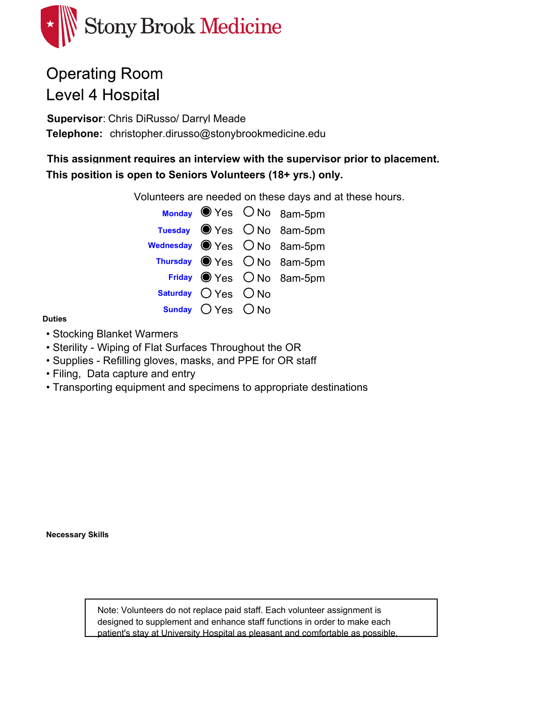

# **Operating Room Level 4 Hospital**

**Supervisor**: Chris DiRusso/ Darryl Meade Telephone: christopher.dirusso@stonybrookmedicine.edu

**This assignment requires an interview with the supervisor prior to placement. This position is open to Seniors Volunteers (18+ yrs.) only.**

Volunteers are needed on these days and at these hours.

|                         | Monday Ves ONo 8am-5pm                   |
|-------------------------|------------------------------------------|
|                         | Tuesday $\bullet$ Yes $\circ$ No 8am-5pm |
|                         | Wednesday ● Yes ○ No 8am-5pm             |
|                         | Thursday O Yes O No 8am-5pm              |
|                         | Friday Wes ONo 8am-5pm                   |
| Saturday $O$ Yes $O$ No |                                          |
| Sunday $OYes$ $ONo$     |                                          |

#### **Duties**

- Stocking Blanket Warmers
- Sterility Wiping of Flat Surfaces Throughout the OR
- Supplies Refilling gloves, masks, and PPE for OR staff
- Filing, Data capture and entry
- Transporting equipment and specimens to appropriate destinations

**Necessary Skills**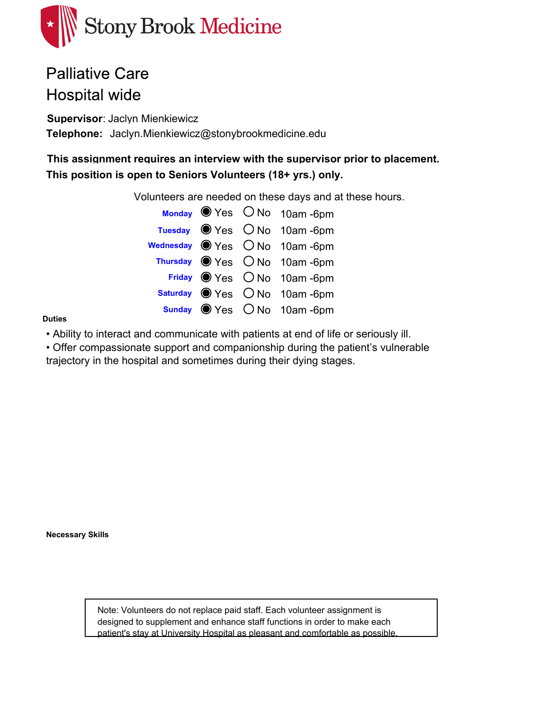

### **Palliative Care Hospital wide**

**Supervisor**: Jaclyn Mienkiewicz Telephone: Jaclyn.Mienkiewicz@stonybrookmedicine.edu

**This assignment requires an interview with the supervisor prior to placement. This position is open to Seniors Volunteers (18+ yrs.) only.**

Volunteers are needed on these days and at these hours.

|  | Monday Ves ONo 10am-6pm                    |
|--|--------------------------------------------|
|  | Tuesday $\bullet$ Yes $\circ$ No 10am -6pm |
|  | Wednesday ● Yes ○ No 10am -6pm             |
|  | Thursday Wes ONo 10am-6pm                  |
|  | Friday Wes ONo 10am-6pm                    |
|  | Saturday Wes ONo 10am-6pm                  |
|  | sunday ● Yes ○ No 10am -6pm                |

#### **Duties**

• Ability to interact and communicate with patients at end of life or seriously ill.

• Offer compassionate support and companionship during the patient's vulnerable

trajectory in the hospital and sometimes during their dying stages.

**Necessary Skills**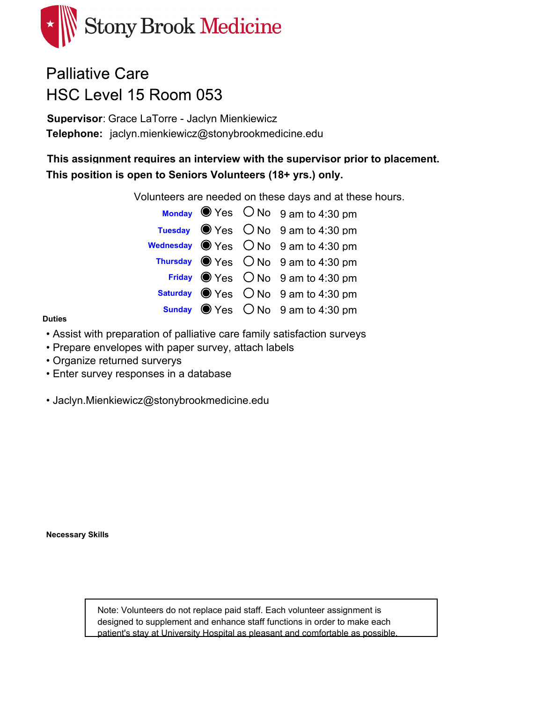

## **Palliative Care** HSC Level 15 Room 053

**Supervisor**: Grace LaTorre - Jaclyn Mienkiewicz Telephone: jaclyn.mienkiewicz@stonybrookmedicine.edu

**This assignment requires an interview with the supervisor prior to placement. This position is open to Seniors Volunteers (18+ yrs.) only.**

Volunteers are needed on these days and at these hours.

|  | Monday Wes ONo 9 am to 4:30 pm                              |
|--|-------------------------------------------------------------|
|  | Tuesday $\bullet$ Yes $\circ$ No 9 am to 4:30 pm            |
|  | wednesday $\bigcirc$ Yes $\bigcirc$ No $\,$ 9 am to 4:30 pm |
|  | Thursday $\bullet$ Yes $\circ$ No 9 am to 4:30 pm           |
|  | Friday $\bullet$ Yes $\circ$ No $\circ$ 3 am to 4:30 pm     |
|  | <b>Saturday</b> $\bullet$ Yes $\circ$ No 9 am to 4:30 pm    |
|  | Sunday $\bullet$ Yes $\circ$ No $\theta$ am to 4:30 pm      |

#### **Duties**

- Assist with preparation of palliative care family satisfaction surveys
- Prepare envelopes with paper survey, attach labels
- Organize returned surverys
- Enter survey responses in a database
- Jaclyn.Mienkiewicz@stonybrookmedicine.edu

**Necessary Skills**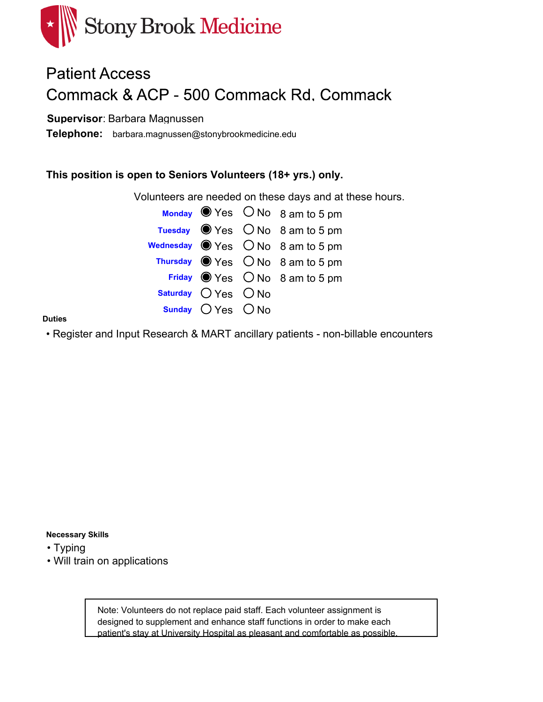

# **Patient Access** Commack & ACP - 500 Commack Rd. Commack

### **Supervisor**: Barbara Magnussen

 $\text{Telephone:}$  barbara.magnussen@stonybrookmedicine.edu

### **This position is open to Seniors Volunteers (18+ yrs.) only.**

Volunteers are needed on these days and at these hours.

|                         | Monday $\bullet$ Yes $\circ$ No $\circ$ am to 5 pm       |
|-------------------------|----------------------------------------------------------|
|                         | Tuesday $\bullet$ Yes $\circ$ No 8 am to 5 pm            |
|                         | wednesday $\bigcirc$ Yes $\bigcirc$ No $\,$ 8 am to 5 pm |
|                         | Thursday $\bigcirc$ Yes $\bigcirc$ No 8 am to 5 pm       |
|                         | Friday $\bigcirc$ Yes $\bigcirc$ No 8 am to 5 pm         |
| Saturday $O$ Yes $O$ No |                                                          |
| Sunday $OYes$ $ONo$     |                                                          |

#### **Duties**

• Register and Input Research & MART ancillary patients - non-billable encounters

#### **Necessary Skills**

• Typing

• Will train on applications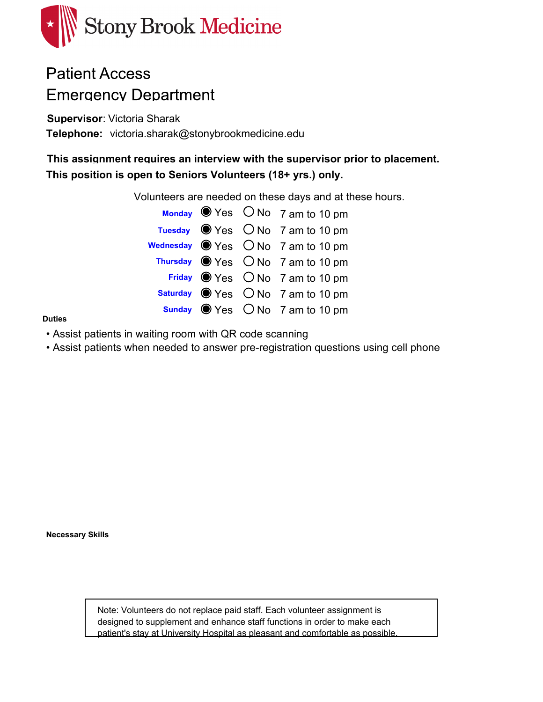

## **Patient Access Emergency Department**

**Supervisor**: Victoria Sharak Telephone: victoria.sharak@stonybrookmedicine.edu

**This assignment requires an interview with the supervisor prior to placement. This position is open to Seniors Volunteers (18+ yrs.) only.**

Volunteers are needed on these days and at these hours.

|  | Monday Wes ONo 7 am to 10 pm                         |
|--|------------------------------------------------------|
|  | Tuesday $\bullet$ Yes $\circ$ No 7 am to 10 pm       |
|  | wednesday $\bigcirc$ Yes $\bigcirc$ No 7 am to 10 pm |
|  | Thursday $\bigcirc$ Yes $\bigcirc$ No 7 am to 10 pm  |
|  | Friday $\bigcirc$ Yes $\bigcirc$ No 7 am to 10 pm    |
|  | Saturday ● Yes ○ No 7 am to 10 pm                    |
|  | <b>Sunday</b> $\bullet$ Yes $\circ$ No 7 am to 10 pm |

#### **Duties**

- Assist patients in waiting room with QR code scanning
- Assist patients when needed to answer pre-registration questions using cell phone

**Necessary Skills**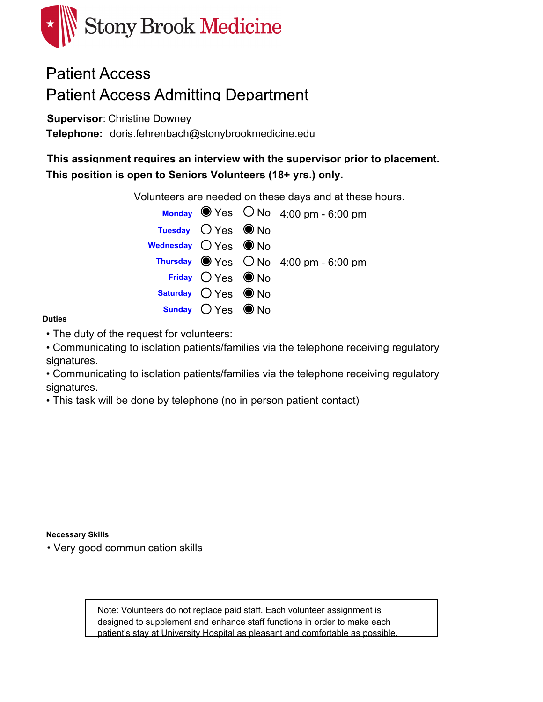

### **Patient Access Patient Access Admitting Department**

**Supervisor**: Christine Downey

Telephone: doris.fehrenbach@stonybrookmedicine.edu

**This assignment requires an interview with the supervisor prior to placement. This position is open to Seniors Volunteers (18+ yrs.) only.**

Volunteers are needed on these days and at these hours.

|                                       |                              | Monday $\bullet$ Yes $\circ$ No 4:00 pm - 6:00 pm   |
|---------------------------------------|------------------------------|-----------------------------------------------------|
|                                       | Tuesday $O$ Yes $\bullet$ No |                                                     |
| Wednesday $O$ Yes $\circledbullet$ No |                              |                                                     |
|                                       |                              | Thursday $\bullet$ Yes $\circ$ No 4:00 pm - 6:00 pm |
|                                       | Friday $OYes$ O No           |                                                     |
|                                       | Saturday $OYes$ O No         |                                                     |
|                                       | Sunday $OYes$ O No           |                                                     |

#### **Duties**

• The duty of the request for volunteers:

• Communicating to isolation patients/families via the telephone receiving regulatory signatures.

• Communicating to isolation patients/families via the telephone receiving regulatory signatures.

• This task will be done by telephone (no in person patient contact)

#### **Necessary Skills**

• Very good communication skills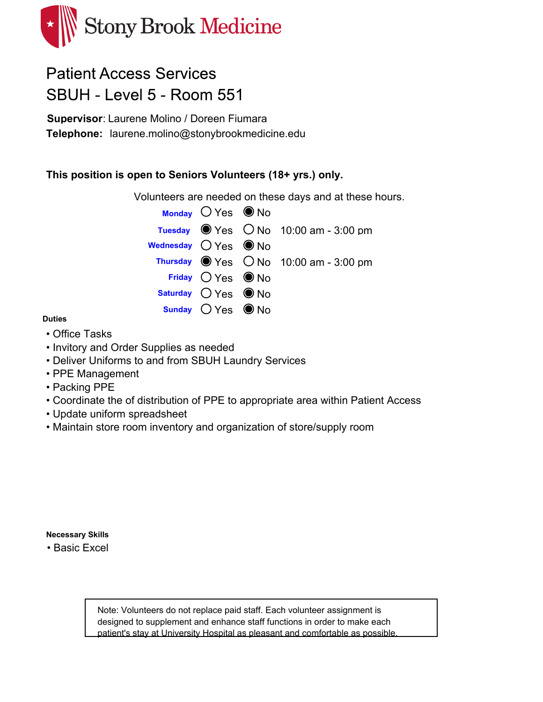

### **Patient Access Services** SBUH - Level 5 - Room 551

**Supervisor**: Laurene Molino / Doreen Fiumara Telephone: laurene.molino@stonybrookmedicine.edu

### **This position is open to Seniors Volunteers (18+ yrs.) only.**

Volunteers are needed on these days and at these hours.

|                                     | Monday $OYes$ $\bullet$ No    |                                                      |
|-------------------------------------|-------------------------------|------------------------------------------------------|
|                                     |                               | Tuesday $\bullet$ Yes $\circ$ No 10:00 am - 3:00 pm  |
| Wednesday $O$ Yes $\circledcirc$ No |                               |                                                      |
|                                     |                               | Thursday $\bullet$ Yes $\circ$ No 10:00 am - 3:00 pm |
|                                     | Friday $OYes$ O No            |                                                      |
|                                     | Saturday $O$ Yes $\bullet$ No |                                                      |
|                                     | Sunday $OYes$ $\bullet$ No    |                                                      |

#### **Duties**

- Office Tasks
- Invitory and Order Supplies as needed
- Deliver Uniforms to and from SBUH Laundry Services
- PPE Management
- Packing PPE
- Coordinate the of distribution of PPE to appropriate area within Patient Access
- Update uniform spreadsheet
- Maintain store room inventory and organization of store/supply room

**Necessary Skills**

• Basic Excel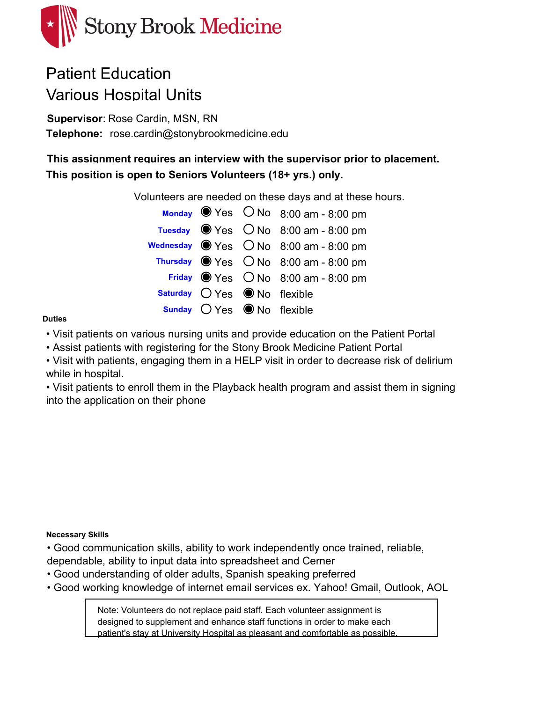

# **Patient Education Various Hospital Units**

**Supervisor**: Rose Cardin, MSN, RN Telephone: rose.cardin@stonybrookmedicine.edu

**This assignment requires an interview with the supervisor prior to placement. This position is open to Seniors Volunteers (18+ yrs.) only.**

Volunteers are needed on these days and at these hours.

|                                                       | Monday $\bullet$ Yes $\circ$ No $8:00$ am - 8:00 pm           |
|-------------------------------------------------------|---------------------------------------------------------------|
|                                                       | Tuesday $\bullet$ Yes $\circ$ No 8:00 am - 8:00 pm            |
|                                                       | Wednesday $\bigcirc$ Yes $\bigcirc$ No $\,$ 8:00 am - 8:00 pm |
|                                                       | Thursday $\bullet$ Yes $\circ$ No 8:00 am - 8:00 pm           |
|                                                       | Friday $\bullet$ Yes $\circ$ No 8:00 am - 8:00 pm             |
| <b>Saturday</b> $\bigcirc$ Yes $\bigcirc$ No flexible |                                                               |
| <b>Sunday</b> $\bigcirc$ Yes $\bigcirc$ No flexible   |                                                               |

#### **Duties**

• Visit patients on various nursing units and provide education on the Patient Portal

• Assist patients with registering for the Stony Brook Medicine Patient Portal

• Visit with patients, engaging them in a HELP visit in order to decrease risk of delirium while in hospital.

• Visit patients to enroll them in the Playback health program and assist them in signing into the application on their phone

#### **Necessary Skills**

• Good communication skills, ability to work independently once trained, reliable, dependable, ability to input data into spreadsheet and Cerner

- Good understanding of older adults, Spanish speaking preferred
- Good working knowledge of internet email services ex. Yahoo! Gmail, Outlook, AOL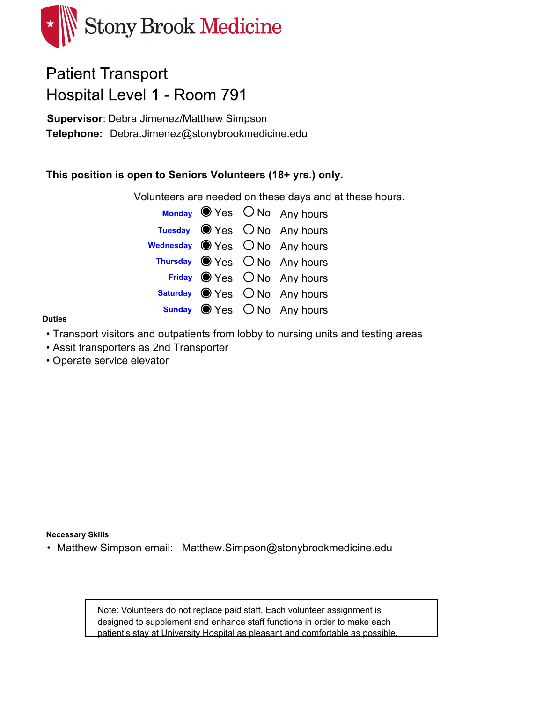

## **Patient Transport** Hospital Level 1 - Room 791

**Supervisor**: Debra Jimenez/Matthew Simpson Telephone: Debra.Jimenez@stonybrookmedicine.edu

### **This position is open to Seniors Volunteers (18+ yrs.) only.**

Volunteers are needed on these days and at these hours.

|  | Monday Wes ONo Any hours                                |
|--|---------------------------------------------------------|
|  | Tuesday O Yes O No Any hours                            |
|  | <b>Wednesday</b> $\bigcirc$ Yes $\bigcirc$ No Any hours |
|  | Thursday O Yes O No Any hours                           |
|  | Friday Wes ONo Any hours                                |
|  | Saturday O Yes O No Any hours                           |
|  | sunday Wes ONo Any hours                                |

#### **Duties**

- Transport visitors and outpatients from lobby to nursing units and testing areas
- Assit transporters as 2nd Transporter
- Operate service elevator

**Necessary Skills**

• Matthew Simpson email: Matthew.Simpson@stonybrookmedicine.edu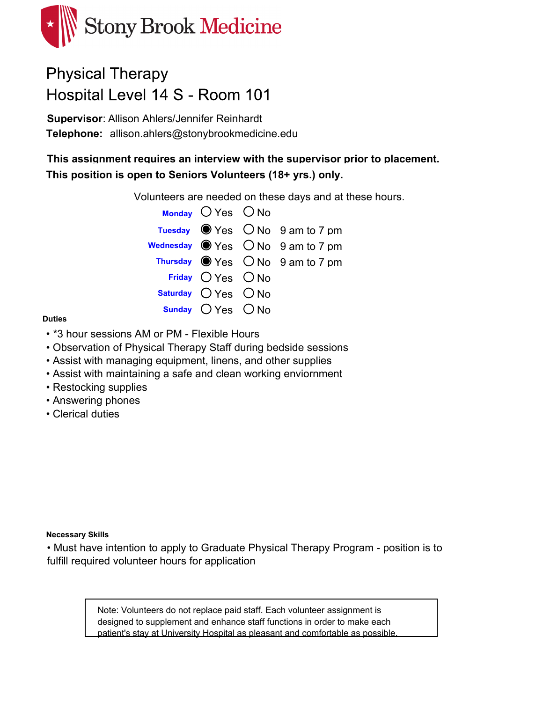

# **Physical Therapy** Hospital Level 14 S - Room 101

**Supervisor**: Allison Ahlers/Jennifer Reinhardt Telephone: allison.ahlers@stonybrookmedicine.edu

**This assignment requires an interview with the supervisor prior to placement. This position is open to Seniors Volunteers (18+ yrs.) only.**

Volunteers are needed on these days and at these hours.

| Monday $O$ Yes $O$ No |                                                          |
|-----------------------|----------------------------------------------------------|
|                       | Tuesday $\bullet$ Yes $\circ$ No 9 am to 7 pm            |
|                       | Wednesday $\bigcirc$ Yes $\bigcirc$ No $\,$ 9 am to 7 pm |
|                       | Thursday $\bigcirc$ Yes $\bigcirc$ No 9 am to 7 pm       |
| Friday $OYes$ $ONo$   |                                                          |
| Saturday $OYes$ $ONo$ |                                                          |
| Sunday $OYes$ $ONo$   |                                                          |

#### **Duties**

- \*3 hour sessions AM or PM Flexible Hours
- Observation of Physical Therapy Staff during bedside sessions
- Assist with managing equipment, linens, and other supplies
- Assist with maintaining a safe and clean working enviornment
- Restocking supplies
- Answering phones
- Clerical duties

#### **Necessary Skills**

• Must have intention to apply to Graduate Physical Therapy Program - position is to fulfill required volunteer hours for application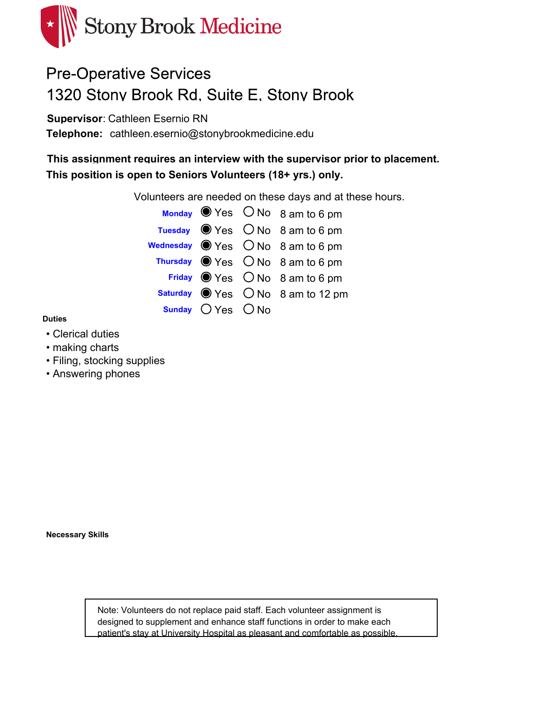

# **Pre-Operative Services** 1320 Stony Brook Rd. Suite E. Stony Brook

**Supervisor**: Cathleen Esernio RN

Telephone: cathleen.esernio@stonybrookmedicine.edu

**This assignment requires an interview with the supervisor prior to placement. This position is open to Seniors Volunteers (18+ yrs.) only.**

Volunteers are needed on these days and at these hours.

|                     | Monday $\bullet$ Yes $\circ$ No $\circ$ am to 6 pm       |
|---------------------|----------------------------------------------------------|
|                     | Tuesday $\bullet$ Yes $\circ$ No 8 am to 6 pm            |
|                     | wednesday $\bigcirc$ Yes $\bigcirc$ No $\,$ 8 am to 6 pm |
|                     | Thursday $\bigcirc$ Yes $\bigcirc$ No 8 am to 6 pm       |
|                     | Friday $\bigcirc$ Yes $\bigcirc$ No 8 am to 6 pm         |
|                     | Saturday Wes ONo 8 am to 12 pm                           |
| Sunday $OYes$ $ONo$ |                                                          |

#### **Duties**

- Clerical duties
- making charts
- Filing, stocking supplies
- Answering phones

**Necessary Skills**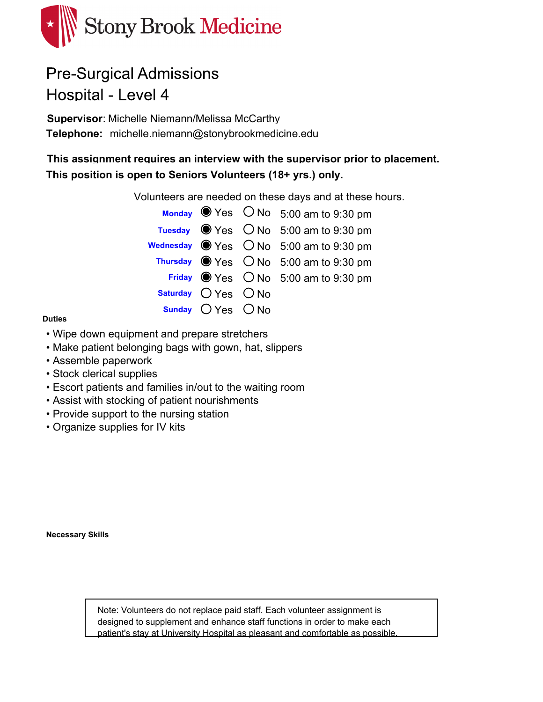

# **Pre-Surgical Admissions** Hospital - Level 4

**Supervisor**: Michelle Niemann/Melissa McCarthy Telephone: michelle.niemann@stonybrookmedicine.edu

**This assignment requires an interview with the supervisor prior to placement. This position is open to Seniors Volunteers (18+ yrs.) only.**

Volunteers are needed on these days and at these hours.



#### **Duties**

- Wipe down equipment and prepare stretchers
- Make patient belonging bags with gown, hat, slippers
- Assemble paperwork
- Stock clerical supplies
- Escort patients and families in/out to the waiting room
- Assist with stocking of patient nourishments
- Provide support to the nursing station
- Organize supplies for IV kits

**Necessary Skills**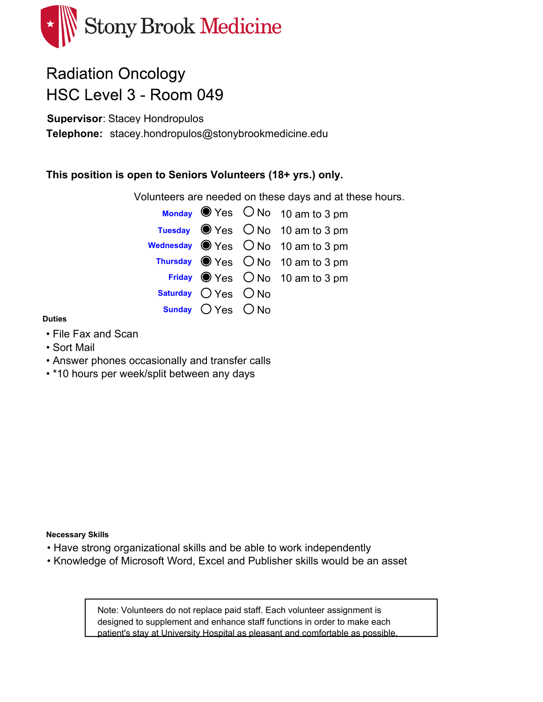

# **Radiation Oncology** HSC Level 3 - Room 049

**Supervisor**: Stacey Hondropulos

Telephone: stacey.hondropulos@stonybrookmedicine.edu

### **This position is open to Seniors Volunteers (18+ yrs.) only.**

Volunteers are needed on these days and at these hours.

|                         | Monday $\bullet$ Yes $\circ$ No 10 am to 3 pm        |
|-------------------------|------------------------------------------------------|
|                         | Tuesday $\bullet$ Yes $\circ$ No 10 am to 3 pm       |
|                         | wednesday $\bigcirc$ Yes $\bigcirc$ No 10 am to 3 pm |
|                         | Thursday $\bigcirc$ Yes $\bigcirc$ No 10 am to 3 pm  |
|                         | Friday $\bigcirc$ Yes $\bigcirc$ No 10 am to 3 pm    |
| Saturday $O$ Yes $O$ No |                                                      |
| Sunday $OYes$ $ONo$     |                                                      |

#### **Duties**

- File Fax and Scan
- Sort Mail
- Answer phones occasionally and transfer calls
- \*10 hours per week/split between any days

**Necessary Skills**

- Have strong organizational skills and be able to work independently
- Knowledge of Microsoft Word, Excel and Publisher skills would be an asset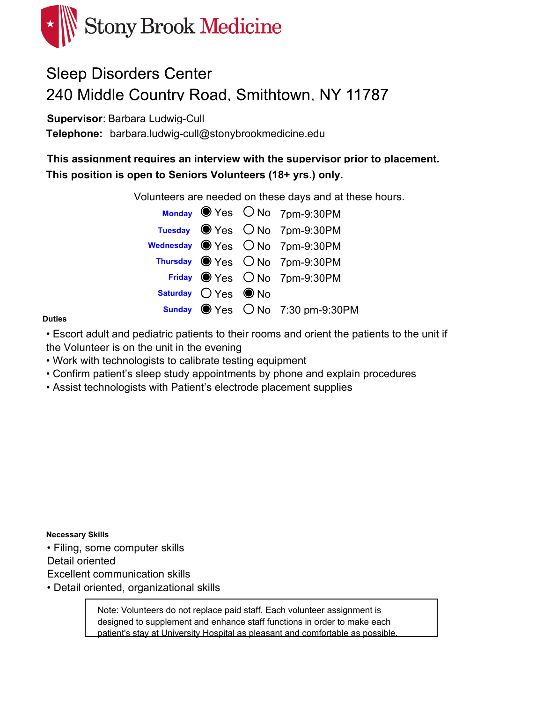

# **Sleep Disorders Center** 240 Middle Country Road, Smithtown, NY 11787

**Supervisor**: Barbara Ludwig-Cull

Telephone: barbara.ludwig-cull@stonybrookmedicine.edu

**This assignment requires an interview with the supervisor prior to placement. This position is open to Seniors Volunteers (18+ yrs.) only.**

Volunteers are needed on these days and at these hours.

|                      | Monday Yes ONo 7pm-9:30PM                      |
|----------------------|------------------------------------------------|
|                      | Tuesday Wes ONo 7pm-9:30PM                     |
|                      | Wednesday ● Yes ○ No 7pm-9:30PM                |
|                      | Thursday Wes ONo 7pm-9:30PM                    |
|                      | Friday Wes ONo 7pm-9:30PM                      |
| Saturday $OYes$ O No |                                                |
|                      | Sunday $\bullet$ Yes $\circ$ No 7:30 pm-9:30PM |

#### **Duties**

• Escort adult and pediatric patients to their rooms and orient the patients to the unit if the Volunteer is on the unit in the evening

- Work with technologists to calibrate testing equipment
- Confirm patient's sleep study appointments by phone and explain procedures
- Assist technologists with Patient's electrode placement supplies

**Necessary Skills**

• Filing, some computer skills

Detail oriented

Excellent communication skills

• Detail oriented, organizational skills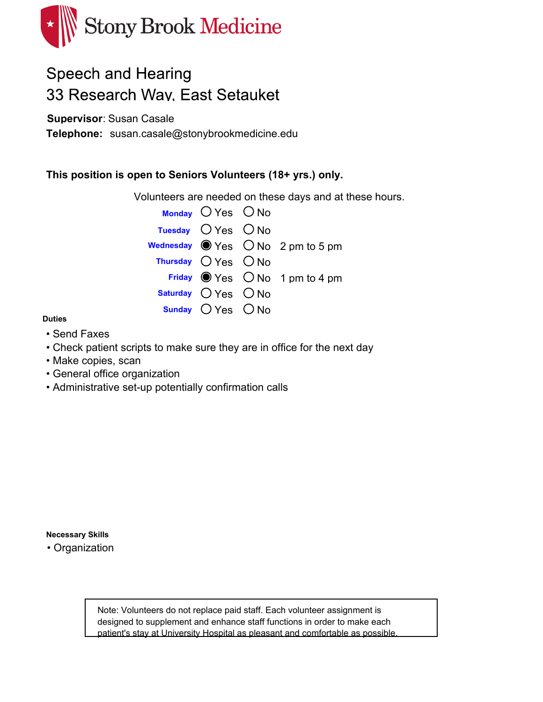

## **Speech and Hearing** 33 Research Way. East Setauket

**Supervisor**: Susan Casale

**Telephone:** susan.casale@stonybrookmedicine.edu

### **This position is open to Seniors Volunteers (18+ yrs.) only.**

Volunteers are needed on these days and at these hours.



#### **Duties**

- Send Faxes
- Check patient scripts to make sure they are in office for the next day
- Make copies, scan
- General office organization
- Administrative set-up potentially confirmation calls

**Necessary Skills**

• Organization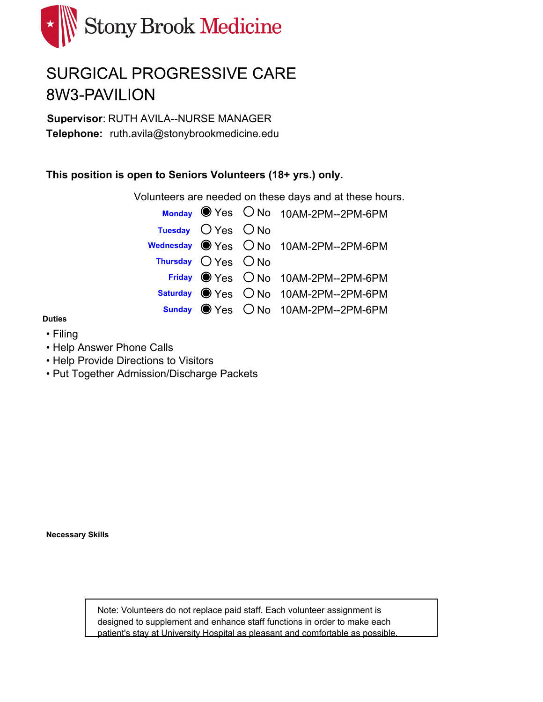

# SURGICAL PROGRESSIVE CARE 8W3-PAVILION

**Supervisor**: RUTH AVILA--NURSE MANAGER Telephone: ruth.avila@stonybrookmedicine.edu

### **This position is open to Seniors Volunteers (18+ yrs.) only.**

Volunteers are needed on these days and at these hours.

|                       |                        | Monday Ves O No 10AM-2PM--2PM-6PM      |
|-----------------------|------------------------|----------------------------------------|
|                       | Tuesday $O$ Yes $O$ No |                                        |
|                       |                        | Wednesday ● Yes ○ No 10AM-2PM--2PM-6PM |
| Thursday $OYes$ $ONo$ |                        |                                        |
|                       |                        | Friday Wes O No 10AM-2PM--2PM-6PM      |
|                       |                        | Saturday ● Yes ○ No 10AM-2PM--2PM-6PM  |
|                       |                        | Sunday ● Yes ○ No 10AM-2PM--2PM-6PM    |

#### **Duties**

- Filing
- Help Answer Phone Calls
- Help Provide Directions to Visitors
- Put Together Admission/Discharge Packets

**Necessary Skills**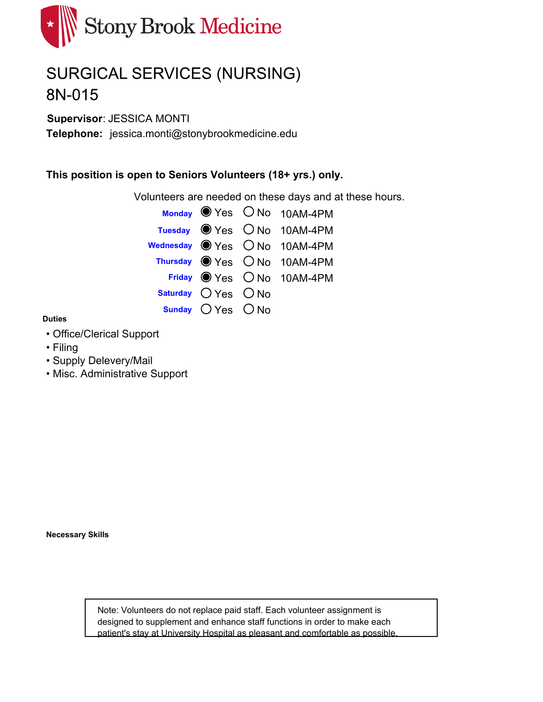

# SURGICAL SERVICES (NURSING) 8N-015

**Supervisor**: JESSICA MONTI

Telephone: jessica.monti@stonybrookmedicine.edu

### **This position is open to Seniors Volunteers (18+ yrs.) only.**

Volunteers are needed on these days and at these hours.

|                         | Monday $\bullet$ Yes $\circ$ No 10AM-4PM |
|-------------------------|------------------------------------------|
|                         | Tuesday Wes ONo 10AM-4PM                 |
|                         | Wednesday ● Yes ○ No 10AM-4PM            |
|                         | Thursday ● Yes ○ No 10AM-4PM             |
|                         | Friday Wes ONo 10AM-4PM                  |
| Saturday $O$ Yes $O$ No |                                          |
| Sunday $OYes$ $ONo$     |                                          |

#### **Duties**

- Office/Clerical Support
- Filing
- Supply Delevery/Mail
- Misc. Administrative Support

**Necessary Skills**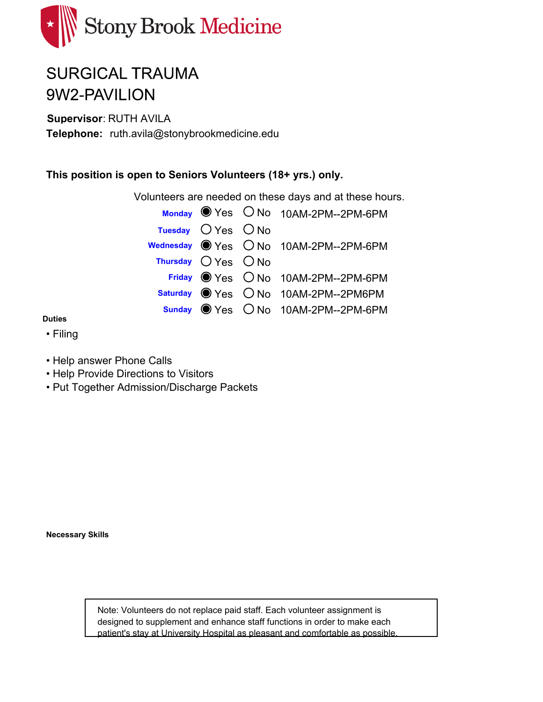

# **SURGICAL TRAUMA** 9W2-PAVILION

**Supervisor**: RUTH AVILA

Telephone: ruth.avila@stonybrookmedicine.edu

### **This position is open to Seniors Volunteers (18+ yrs.) only.**

Volunteers are needed on these days and at these hours.

|                         |                        | Monday Yes O No 10AM-2PM--2PM-6PM      |
|-------------------------|------------------------|----------------------------------------|
|                         | Tuesday $O$ Yes $O$ No |                                        |
|                         |                        | Wednesday ● Yes ○ No 10AM-2PM--2PM-6PM |
| Thursday $O$ Yes $O$ No |                        |                                        |
|                         |                        | Friday Wes ONo 10AM-2PM--2PM-6PM       |
|                         |                        | Saturday ● Yes ○ No 10AM-2PM--2PM6PM   |
|                         |                        | Sunday ● Yes ○ No 10AM-2PM--2PM-6PM    |

**Duties**

- Filing
- Help answer Phone Calls
- Help Provide Directions to Visitors
- Put Together Admission/Discharge Packets

**Necessary Skills**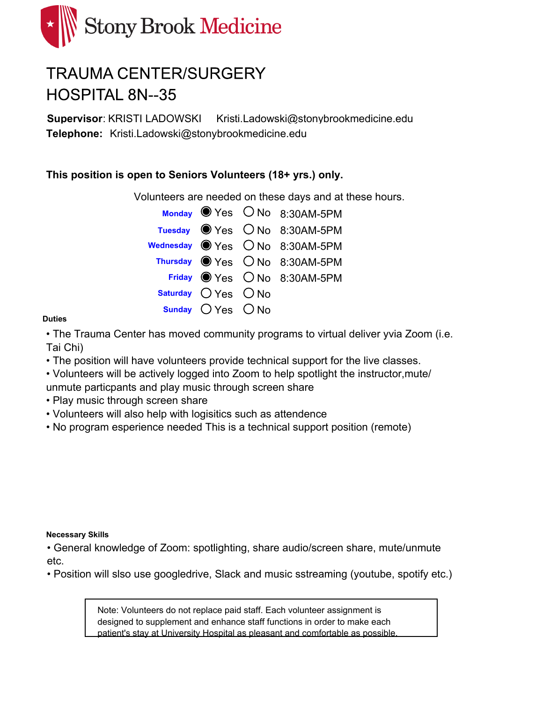

# **TRAUMA CENTER/SURGERY HOSPITAL 8N--35**

**Supervisor**: KRISTI LADOWSKI Kristi.Ladowski@stonybrookmedicine.edu Telephone: Kristi.Ladowski@stonybrookmedicine.edu

### **This position is open to Seniors Volunteers (18+ yrs.) only.**

Volunteers are needed on these days and at these hours.

|                         | Monday $\bullet$ Yes $\circ$ No 8:30AM-5PM        |
|-------------------------|---------------------------------------------------|
|                         | Tuesday Wes ONo 8:30AM-5PM                        |
|                         | Wednesday $\bigcirc$ Yes $\bigcirc$ No 8:30AM-5PM |
|                         | Thursday O Yes O No 8:30AM-5PM                    |
|                         | Friday Wes ONo 8:30AM-5PM                         |
| Saturday $O$ Yes $O$ No |                                                   |
| Sunday ○ Yes ○ No       |                                                   |

#### **Duties**

• The Trauma Center has moved community programs to virtual deliver yvia Zoom (i.e. Tai Chi)

• The position will have volunteers provide technical support for the live classes.

• Volunteers will be actively logged into Zoom to help spotlight the instructor,mute/ unmute particpants and play music through screen share

- Play music through screen share
- Volunteers will also help with logisitics such as attendence
- No program esperience needed This is a technical support position (remote)

#### **Necessary Skills**

• General knowledge of Zoom: spotlighting, share audio/screen share, mute/unmute etc.

• Position will slso use googledrive, Slack and music sstreaming (youtube, spotify etc.)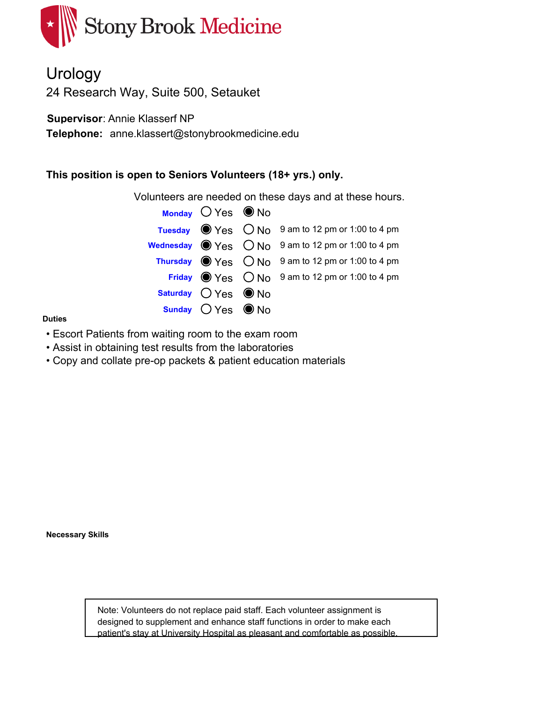

Urology 24 Research Way, Suite 500, Setauket

**Supervisor**: Annie Klasserf NP

Telephone: anne.klassert@stonybrookmedicine.edu

### **This position is open to Seniors Volunteers (18+ yrs.) only.**

Volunteers are needed on these days and at these hours.

| Monday $OYes$ O No            |                                                                             |
|-------------------------------|-----------------------------------------------------------------------------|
|                               | Tuesday $\bullet$ Yes $\circ$ No $\circ$ 9 am to 12 pm or 1:00 to 4 pm      |
|                               | <b>Wednesday</b> $\bigcirc$ Yes $\bigcirc$ No 9 am to 12 pm or 1:00 to 4 pm |
|                               | <b>Thursday</b> $\bigcirc$ Yes $\bigcirc$ No 9 am to 12 pm or 1:00 to 4 pm  |
|                               | Friday $\bigcirc$ Yes $\bigcirc$ No 9 am to 12 pm or 1:00 to 4 pm           |
| Saturday $O$ Yes $\bullet$ No |                                                                             |
| Sunday ○ Yes ● No             |                                                                             |

#### **Duties**

- Escort Patients from waiting room to the exam room
- Assist in obtaining test results from the laboratories
- Copy and collate pre-op packets & patient education materials

**Necessary Skills**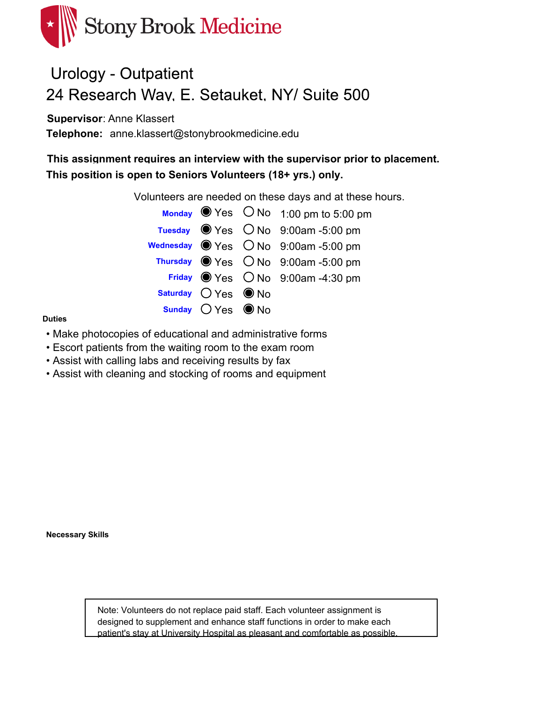

## **Urology - Outpatient** 24 Research Way, E. Setauket, NY/ Suite 500

**Supervisor**: Anne Klassert

Telephone: anne.klassert@stonybrookmedicine.edu

**This assignment requires an interview with the supervisor prior to placement. This position is open to Seniors Volunteers (18+ yrs.) only.**

Volunteers are needed on these days and at these hours.

|                      | Monday $\bullet$ Yes $\circ$ No 1:00 pm to 5:00 pm                |
|----------------------|-------------------------------------------------------------------|
|                      | Tuesday $\bullet$ Yes $\circ$ No $\circ$ 9:00am -5:00 pm          |
|                      | Wednesday $\bigcirc$ Yes $\bigcirc$ No $\bigcirc$ 9:00am -5:00 pm |
|                      | Thursday Wes ONo 9:00am-5:00 pm                                   |
|                      | Friday $\bullet$ Yes $\circ$ No 9:00am -4:30 pm                   |
| Saturday $OYes$ O No |                                                                   |
| Sunday $OYes$ O No   |                                                                   |

#### **Duties**

- Make photocopies of educational and administrative forms
- Escort patients from the waiting room to the exam room
- Assist with calling labs and receiving results by fax
- Assist with cleaning and stocking of rooms and equipment

**Necessary Skills**